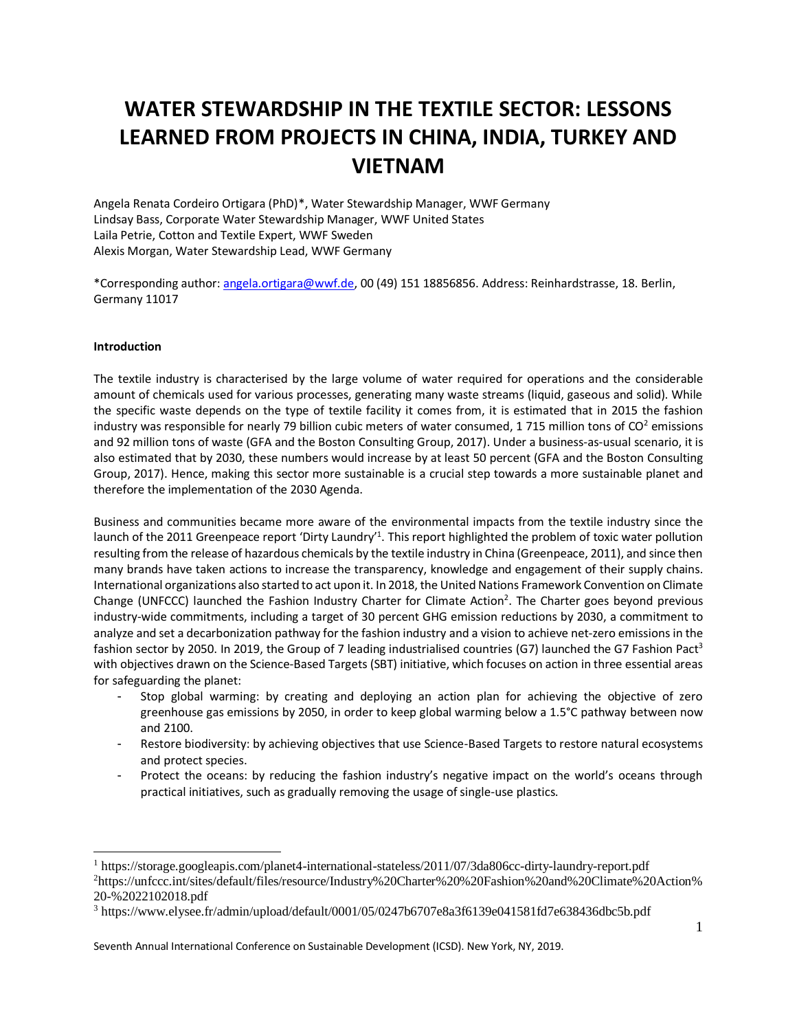# **WATER STEWARDSHIP IN THE TEXTILE SECTOR: LESSONS LEARNED FROM PROJECTS IN CHINA, INDIA, TURKEY AND VIETNAM**

Angela Renata Cordeiro Ortigara (PhD)\*, Water Stewardship Manager, WWF Germany Lindsay Bass, Corporate Water Stewardship Manager, WWF United States Laila Petrie, Cotton and Textile Expert, WWF Sweden Alexis Morgan, Water Stewardship Lead, WWF Germany

\*Corresponding author[: angela.ortigara@wwf.de,](mailto:angela.ortigara@wwf.de) 00 (49) 151 18856856. Address: Reinhardstrasse, 18. Berlin, Germany 11017

## **Introduction**

l

The textile industry is characterised by the large volume of water required for operations and the considerable amount of chemicals used for various processes, generating many waste streams (liquid, gaseous and solid). While the specific waste depends on the type of textile facility it comes from, it is estimated that in 2015 the fashion industry was responsible for nearly 79 billion cubic meters of water consumed, 1 715 million tons of  $CO<sup>2</sup>$  emissions and 92 million tons of waste (GFA and the Boston Consulting Group, 2017). Under a business-as-usual scenario, it is also estimated that by 2030, these numbers would increase by at least 50 percent (GFA and the Boston Consulting Group, 2017). Hence, making this sector more sustainable is a crucial step towards a more sustainable planet and therefore the implementation of the 2030 Agenda.

Business and communities became more aware of the environmental impacts from the textile industry since the launch of the 2011 Greenpeace report 'Dirty Laundry'<sup>1</sup>. This report highlighted the problem of toxic water pollution resulting from the release of hazardous chemicals by the textile industry in China (Greenpeace, 2011), and since then many brands have taken actions to increase the transparency, knowledge and engagement of their supply chains. International organizations also started to act upon it. In 2018, the United Nations Framework Convention on Climate Change (UNFCCC) launched the Fashion Industry Charter for Climate Action<sup>2</sup>. The Charter goes beyond previous industry-wide commitments, including a target of 30 percent GHG emission reductions by 2030, a commitment to analyze and set a decarbonization pathway for the fashion industry and a vision to achieve net-zero emissions in the fashion sector by 2050. In 2019, the Group of 7 leading industrialised countries (G7) launched the G7 Fashion Pact<sup>3</sup> with objectives drawn on the Science-Based Targets (SBT) initiative, which focuses on action in three essential areas for safeguarding the planet:

- Stop global warming: by creating and deploying an action plan for achieving the objective of zero greenhouse gas emissions by 2050, in order to keep global warming below a 1.5°C pathway between now and 2100.
- Restore biodiversity: by achieving objectives that use Science-Based Targets to restore natural ecosystems and protect species.
- Protect the oceans: by reducing the fashion industry's negative impact on the world's oceans through practical initiatives, such as gradually removing the usage of single-use plastics.

Seventh Annual International Conference on Sustainable Development (ICSD). New York, NY, 2019.

<sup>1</sup> https://storage.googleapis.com/planet4-international-stateless/2011/07/3da806cc-dirty-laundry-report.pdf <sup>2</sup>https://unfccc.int/sites/default/files/resource/Industry%20Charter%20%20Fashion%20and%20Climate%20Action% 20-%2022102018.pdf

<sup>3</sup> https://www.elysee.fr/admin/upload/default/0001/05/0247b6707e8a3f6139e041581fd7e638436dbc5b.pdf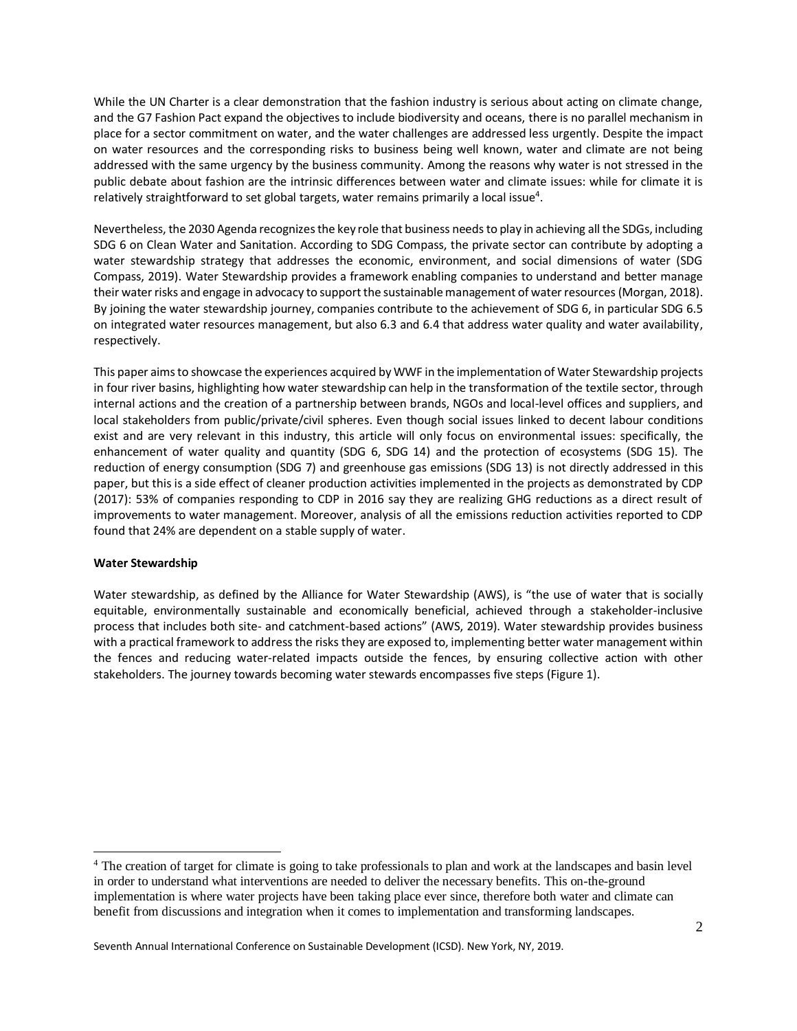While the UN Charter is a clear demonstration that the fashion industry is serious about acting on climate change, and the G7 Fashion Pact expand the objectives to include biodiversity and oceans, there is no parallel mechanism in place for a sector commitment on water, and the water challenges are addressed less urgently. Despite the impact on water resources and the corresponding risks to business being well known, water and climate are not being addressed with the same urgency by the business community. Among the reasons why water is not stressed in the public debate about fashion are the intrinsic differences between water and climate issues: while for climate it is relatively straightforward to set global targets, water remains primarily a local issue<sup>4</sup>.

Nevertheless, the 2030 Agenda recognizesthe key role that business needs to play in achieving all the SDGs, including SDG 6 on Clean Water and Sanitation. According to SDG Compass, the private sector can contribute by adopting a water stewardship strategy that addresses the economic, environment, and social dimensions of water (SDG Compass, 2019). Water Stewardship provides a framework enabling companies to understand and better manage their water risks and engage in advocacy to support the sustainable management of water resources(Morgan, 2018). By joining the water stewardship journey, companies contribute to the achievement of SDG 6, in particular SDG 6.5 on integrated water resources management, but also 6.3 and 6.4 that address water quality and water availability, respectively.

This paper aims to showcase the experiences acquired by WWF in the implementation of Water Stewardship projects in four river basins, highlighting how water stewardship can help in the transformation of the textile sector, through internal actions and the creation of a partnership between brands, NGOs and local-level offices and suppliers, and local stakeholders from public/private/civil spheres. Even though social issues linked to decent labour conditions exist and are very relevant in this industry, this article will only focus on environmental issues: specifically, the enhancement of water quality and quantity (SDG 6, SDG 14) and the protection of ecosystems (SDG 15). The reduction of energy consumption (SDG 7) and greenhouse gas emissions (SDG 13) is not directly addressed in this paper, but this is a side effect of cleaner production activities implemented in the projects as demonstrated by CDP (2017): 53% of companies responding to CDP in 2016 say they are realizing GHG reductions as a direct result of improvements to water management. Moreover, analysis of all the emissions reduction activities reported to CDP found that 24% are dependent on a stable supply of water.

# **Water Stewardship**

l

Water stewardship, as defined by the Alliance for Water Stewardship (AWS), is "the use of water that is socially equitable, environmentally sustainable and economically beneficial, achieved through a stakeholder-inclusive process that includes both site- and catchment-based actions" (AWS, 2019). Water stewardship provides business with a practical framework to address the risks they are exposed to, implementing better water management within the fences and reducing water-related impacts outside the fences, by ensuring collective action with other stakeholders. The journey towards becoming water stewards encompasses five steps (Figure 1).

<sup>4</sup> The creation of target for climate is going to take professionals to plan and work at the landscapes and basin level in order to understand what interventions are needed to deliver the necessary benefits. This on-the-ground implementation is where water projects have been taking place ever since, therefore both water and climate can benefit from discussions and integration when it comes to implementation and transforming landscapes.

Seventh Annual International Conference on Sustainable Development (ICSD). New York, NY, 2019.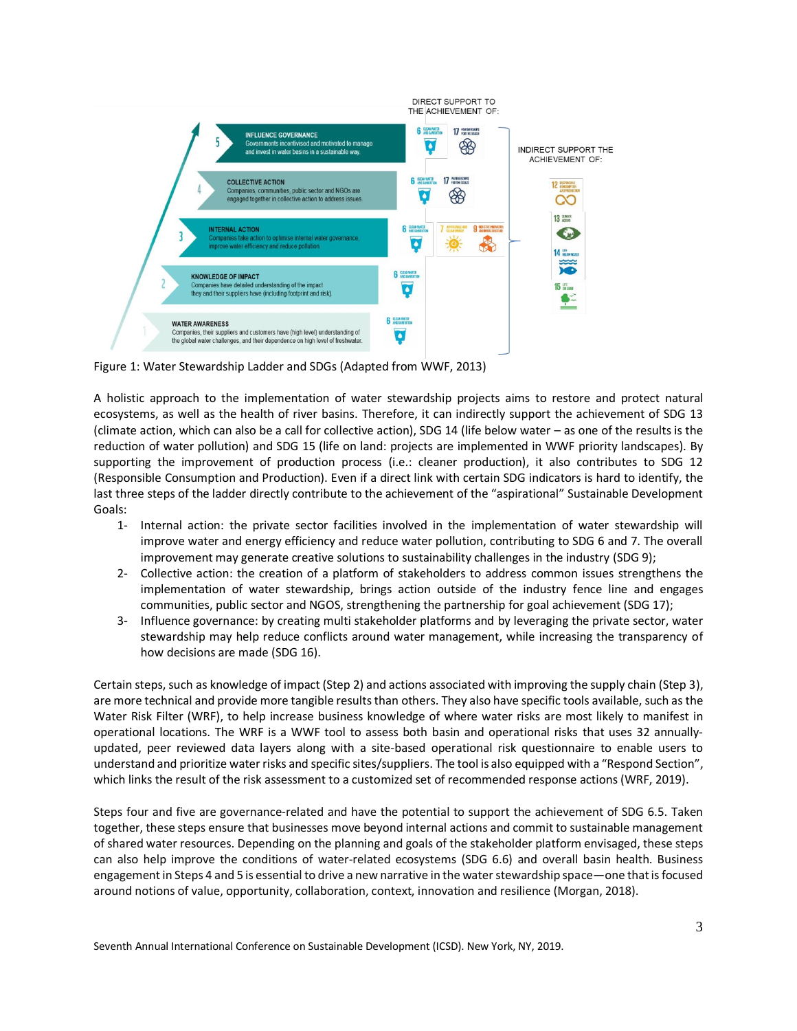

Figure 1: Water Stewardship Ladder and SDGs (Adapted from WWF, 2013)

A holistic approach to the implementation of water stewardship projects aims to restore and protect natural ecosystems, as well as the health of river basins. Therefore, it can indirectly support the achievement of SDG 13 (climate action, which can also be a call for collective action), SDG 14 (life below water – as one of the results is the reduction of water pollution) and SDG 15 (life on land: projects are implemented in WWF priority landscapes). By supporting the improvement of production process (i.e.: cleaner production), it also contributes to SDG 12 (Responsible Consumption and Production). Even if a direct link with certain SDG indicators is hard to identify, the last three steps of the ladder directly contribute to the achievement of the "aspirational" Sustainable Development Goals:

- 1- Internal action: the private sector facilities involved in the implementation of water stewardship will improve water and energy efficiency and reduce water pollution, contributing to SDG 6 and 7. The overall improvement may generate creative solutions to sustainability challenges in the industry (SDG 9);
- 2- Collective action: the creation of a platform of stakeholders to address common issues strengthens the implementation of water stewardship, brings action outside of the industry fence line and engages communities, public sector and NGOS, strengthening the partnership for goal achievement (SDG 17);
- 3- Influence governance: by creating multi stakeholder platforms and by leveraging the private sector, water stewardship may help reduce conflicts around water management, while increasing the transparency of how decisions are made (SDG 16).

Certain steps, such as knowledge of impact (Step 2) and actions associated with improving the supply chain (Step 3), are more technical and provide more tangible results than others. They also have specific tools available, such as the Water Risk Filter (WRF), to help increase business knowledge of where water risks are most likely to manifest in operational locations. The WRF is a WWF tool to assess both basin and operational risks that uses 32 annuallyupdated, peer reviewed data layers along with a site-based operational risk questionnaire to enable users to understand and prioritize water risks and specific sites/suppliers. The tool is also equipped with a "Respond Section", which links the result of the risk assessment to a customized set of recommended response actions (WRF, 2019).

Steps four and five are governance-related and have the potential to support the achievement of SDG 6.5. Taken together, these steps ensure that businesses move beyond internal actions and commit to sustainable management of shared water resources. Depending on the planning and goals of the stakeholder platform envisaged, these steps can also help improve the conditions of water-related ecosystems (SDG 6.6) and overall basin health. Business engagement in Steps 4 and 5 is essential to drive a new narrative in the water stewardship space—one that is focused around notions of value, opportunity, collaboration, context, innovation and resilience (Morgan, 2018).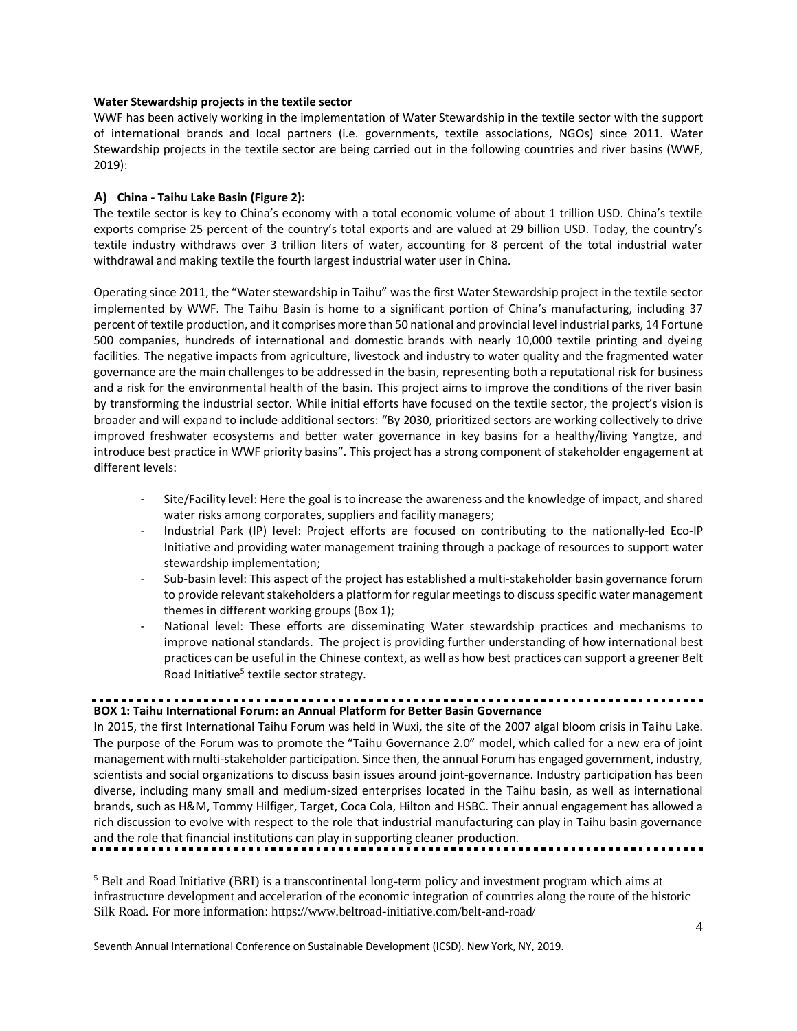## **Water Stewardship projects in the textile sector**

WWF has been actively working in the implementation of Water Stewardship in the textile sector with the support of international brands and local partners (i.e. governments, textile associations, NGOs) since 2011. Water Stewardship projects in the textile sector are being carried out in the following countries and river basins (WWF, 2019):

# **A) China - Taihu Lake Basin (Figure 2):**

l

The textile sector is key to China's economy with a total economic volume of about 1 trillion USD. China's textile exports comprise 25 percent of the country's total exports and are valued at 29 billion USD. Today, the country's textile industry withdraws over 3 trillion liters of water, accounting for 8 percent of the total industrial water withdrawal and making textile the fourth largest industrial water user in China.

Operating since 2011, the "Water stewardship in Taihu" was the first Water Stewardship project in the textile sector implemented by WWF. The Taihu Basin is home to a significant portion of China's manufacturing, including 37 percent of textile production, and it comprises more than 50 national and provincial level industrial parks, 14 Fortune 500 companies, hundreds of international and domestic brands with nearly 10,000 textile printing and dyeing facilities. The negative impacts from agriculture, livestock and industry to water quality and the fragmented water governance are the main challenges to be addressed in the basin, representing both a reputational risk for business and a risk for the environmental health of the basin. This project aims to improve the conditions of the river basin by transforming the industrial sector. While initial efforts have focused on the textile sector, the project's vision is broader and will expand to include additional sectors: "By 2030, prioritized sectors are working collectively to drive improved freshwater ecosystems and better water governance in key basins for a healthy/living Yangtze, and introduce best practice in WWF priority basins". This project has a strong component of stakeholder engagement at different levels:

- Site/Facility level: Here the goal is to increase the awareness and the knowledge of impact, and shared water risks among corporates, suppliers and facility managers;
- Industrial Park (IP) level: Project efforts are focused on contributing to the nationally-led Eco-IP Initiative and providing water management training through a package of resources to support water stewardship implementation;
- Sub-basin level: This aspect of the project has established a multi-stakeholder basin governance forum to provide relevant stakeholders a platform for regular meetings to discuss specific water management themes in different working groups (Box 1);
- National level: These efforts are disseminating Water stewardship practices and mechanisms to improve national standards. The project is providing further understanding of how international best practices can be useful in the Chinese context, as well as how best practices can support a greener Belt Road Initiative<sup>5</sup> textile sector strategy.

# **BOX 1: Taihu International Forum: an Annual Platform for Better Basin Governance**

In 2015, the first International Taihu Forum was held in Wuxi, the site of the 2007 algal bloom crisis in Taihu Lake. The purpose of the Forum was to promote the "Taihu Governance 2.0" model, which called for a new era of joint management with multi-stakeholder participation. Since then, the annual Forum has engaged government, industry, scientists and social organizations to discuss basin issues around joint-governance. Industry participation has been diverse, including many small and medium-sized enterprises located in the Taihu basin, as well as international brands, such as H&M, Tommy Hilfiger, Target, Coca Cola, Hilton and HSBC. Their annual engagement has allowed a rich discussion to evolve with respect to the role that industrial manufacturing can play in Taihu basin governance and the role that financial institutions can play in supporting cleaner production.

<sup>5</sup> Belt and Road Initiative (BRI) is a transcontinental long-term policy and investment program which aims at infrastructure development and acceleration of the economic integration of countries along the route of the historic Silk Road. For more information: https://www.beltroad-initiative.com/belt-and-road/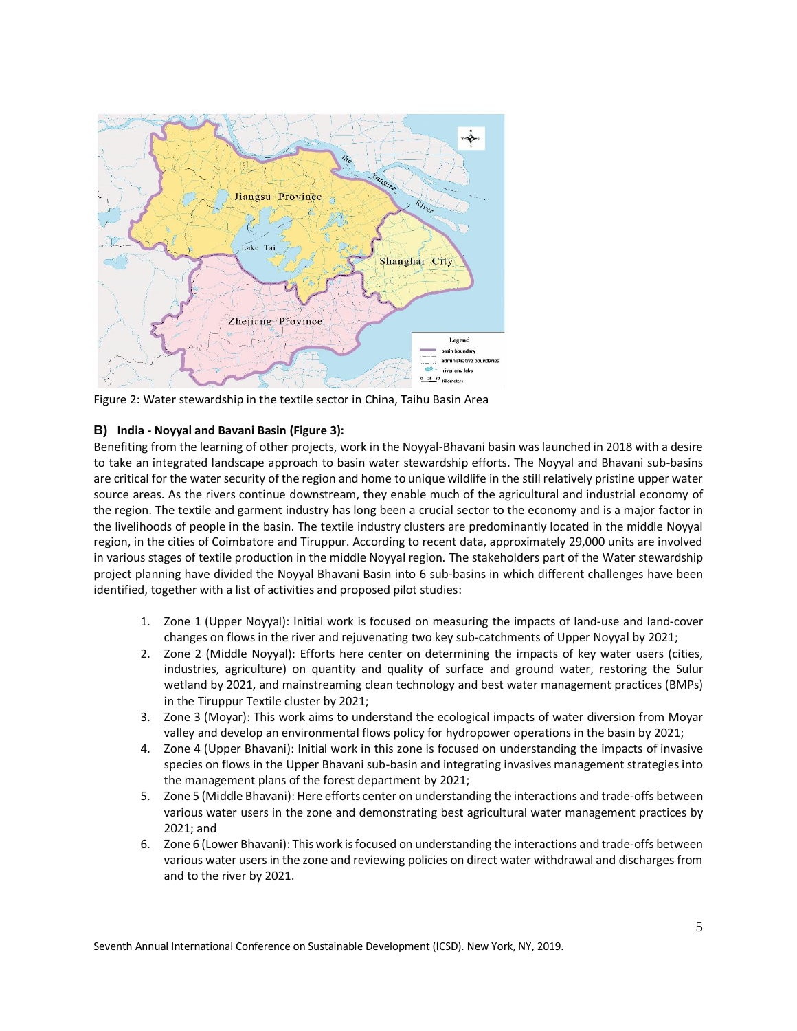

Figure 2: Water stewardship in the textile sector in China, Taihu Basin Area

# **B) India - Noyyal and Bavani Basin (Figure 3):**

Benefiting from the learning of other projects, work in the Noyyal-Bhavani basin was launched in 2018 with a desire to take an integrated landscape approach to basin water stewardship efforts. The Noyyal and Bhavani sub-basins are critical for the water security of the region and home to unique wildlife in the still relatively pristine upper water source areas. As the rivers continue downstream, they enable much of the agricultural and industrial economy of the region. The textile and garment industry has long been a crucial sector to the economy and is a major factor in the livelihoods of people in the basin. The textile industry clusters are predominantly located in the middle Noyyal region, in the cities of Coimbatore and Tiruppur. According to recent data, approximately 29,000 units are involved in various stages of textile production in the middle Noyyal region. The stakeholders part of the Water stewardship project planning have divided the Noyyal Bhavani Basin into 6 sub-basins in which different challenges have been identified, together with a list of activities and proposed pilot studies:

- 1. Zone 1 (Upper Noyyal): Initial work is focused on measuring the impacts of land-use and land-cover changes on flows in the river and rejuvenating two key sub-catchments of Upper Noyyal by 2021;
- 2. Zone 2 (Middle Noyyal): Efforts here center on determining the impacts of key water users (cities, industries, agriculture) on quantity and quality of surface and ground water, restoring the Sulur wetland by 2021, and mainstreaming clean technology and best water management practices (BMPs) in the Tiruppur Textile cluster by 2021;
- 3. Zone 3 (Moyar): This work aims to understand the ecological impacts of water diversion from Moyar valley and develop an environmental flows policy for hydropower operations in the basin by 2021;
- 4. Zone 4 (Upper Bhavani): Initial work in this zone is focused on understanding the impacts of invasive species on flows in the Upper Bhavani sub-basin and integrating invasives management strategies into the management plans of the forest department by 2021;
- 5. Zone 5 (Middle Bhavani): Here efforts center on understanding the interactions and trade-offs between various water users in the zone and demonstrating best agricultural water management practices by 2021; and
- 6. Zone 6 (Lower Bhavani): This work is focused on understanding the interactions and trade-offs between various water users in the zone and reviewing policies on direct water withdrawal and discharges from and to the river by 2021.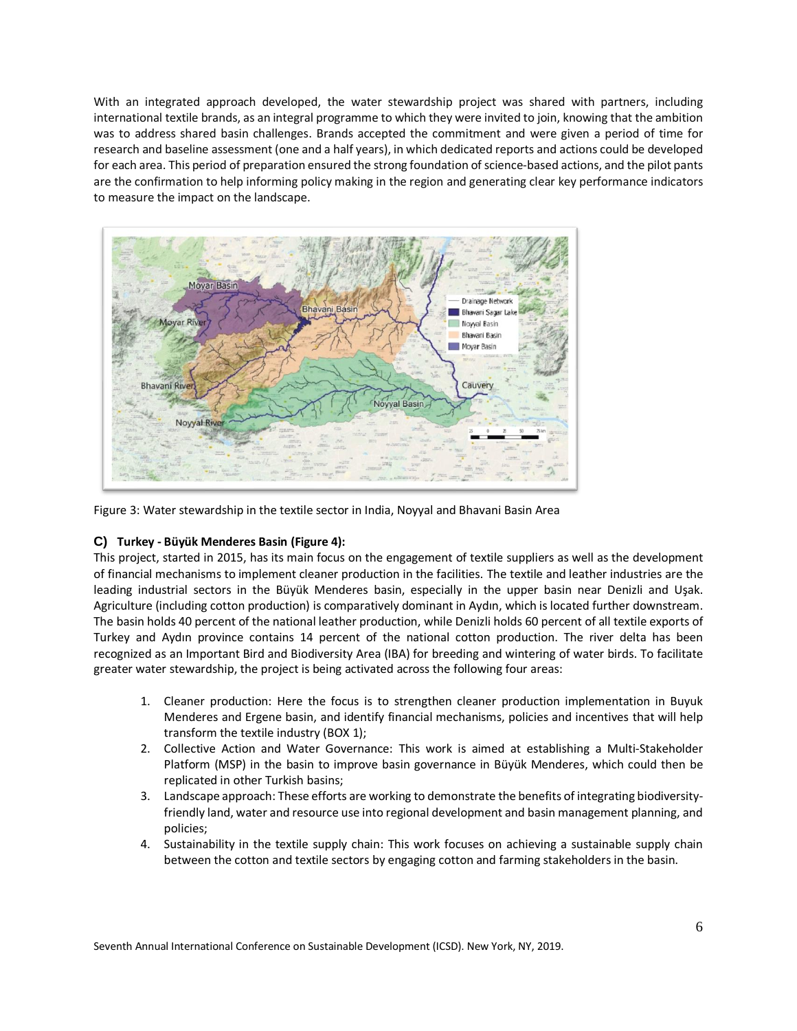With an integrated approach developed, the water stewardship project was shared with partners, including international textile brands, as an integral programme to which they were invited to join, knowing that the ambition was to address shared basin challenges. Brands accepted the commitment and were given a period of time for research and baseline assessment (one and a half years), in which dedicated reports and actions could be developed for each area. This period of preparation ensured the strong foundation of science-based actions, and the pilot pants are the confirmation to help informing policy making in the region and generating clear key performance indicators to measure the impact on the landscape.



Figure 3: Water stewardship in the textile sector in India, Noyyal and Bhavani Basin Area

# **C) Turkey - Büyük Menderes Basin (Figure 4):**

This project, started in 2015, has its main focus on the engagement of textile suppliers as well as the development of financial mechanisms to implement cleaner production in the facilities. The textile and leather industries are the leading industrial sectors in the Büyük Menderes basin, especially in the upper basin near Denizli and Uşak. Agriculture (including cotton production) is comparatively dominant in Aydın, which is located further downstream. The basin holds 40 percent of the national leather production, while Denizli holds 60 percent of all textile exports of Turkey and Aydın province contains 14 percent of the national cotton production. The river delta has been recognized as an Important Bird and Biodiversity Area (IBA) for breeding and wintering of water birds. To facilitate greater water stewardship, the project is being activated across the following four areas:

- 1. Cleaner production: Here the focus is to strengthen cleaner production implementation in Buyuk Menderes and Ergene basin, and identify financial mechanisms, policies and incentives that will help transform the textile industry (BOX 1);
- 2. Collective Action and Water Governance: This work is aimed at establishing a Multi-Stakeholder Platform (MSP) in the basin to improve basin governance in Büyük Menderes, which could then be replicated in other Turkish basins;
- 3. Landscape approach: These efforts are working to demonstrate the benefits of integrating biodiversityfriendly land, water and resource use into regional development and basin management planning, and policies;
- 4. Sustainability in the textile supply chain: This work focuses on achieving a sustainable supply chain between the cotton and textile sectors by engaging cotton and farming stakeholders in the basin.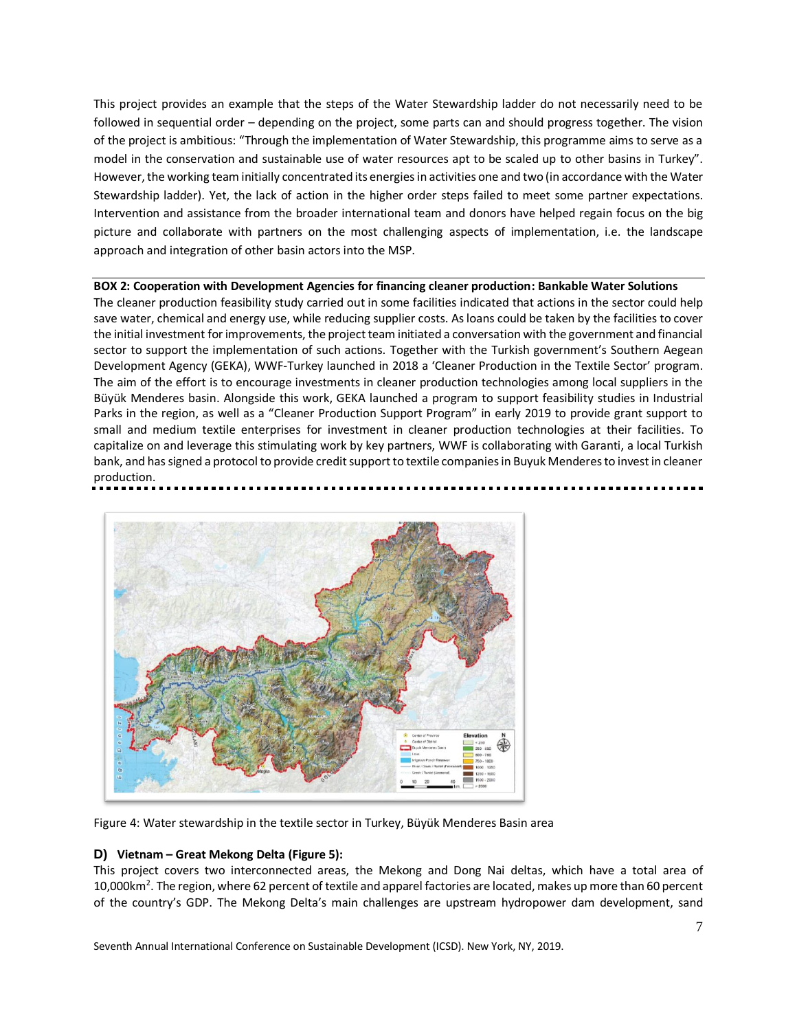This project provides an example that the steps of the Water Stewardship ladder do not necessarily need to be followed in sequential order – depending on the project, some parts can and should progress together. The vision of the project is ambitious: "Through the implementation of Water Stewardship, this programme aims to serve as a model in the conservation and sustainable use of water resources apt to be scaled up to other basins in Turkey". However, the working team initially concentrated its energies in activities one and two (in accordance with the Water Stewardship ladder). Yet, the lack of action in the higher order steps failed to meet some partner expectations. Intervention and assistance from the broader international team and donors have helped regain focus on the big picture and collaborate with partners on the most challenging aspects of implementation, i.e. the landscape approach and integration of other basin actors into the MSP.

## **BOX 2: Cooperation with Development Agencies for financing cleaner production: Bankable Water Solutions**

The cleaner production feasibility study carried out in some facilities indicated that actions in the sector could help save water, chemical and energy use, while reducing supplier costs. As loans could be taken by the facilities to cover the initial investment for improvements, the project team initiated a conversation with the government and financial sector to support the implementation of such actions. Together with the Turkish government's Southern Aegean Development Agency (GEKA), WWF-Turkey launched in 2018 a 'Cleaner Production in the Textile Sector' program. The aim of the effort is to encourage investments in cleaner production technologies among local suppliers in the Büyük Menderes basin. Alongside this work, GEKA launched a program to support feasibility studies in Industrial Parks in the region, as well as a "Cleaner Production Support Program" in early 2019 to provide grant support to small and medium textile enterprises for investment in cleaner production technologies at their facilities. To capitalize on and leverage this stimulating work by key partners, WWF is collaborating with Garanti, a local Turkish bank, and has signed a protocol to provide credit support to textile companies in Buyuk Menderes to invest in cleaner production.



Figure 4: Water stewardship in the textile sector in Turkey, Büyük Menderes Basin area

# **D) Vietnam – Great Mekong Delta (Figure 5):**

This project covers two interconnected areas, the Mekong and Dong Nai deltas, which have a total area of 10,000km<sup>2</sup>. The region, where 62 percent of textile and apparel factories are located, makes up more than 60 percent of the country's GDP. The Mekong Delta's main challenges are upstream hydropower dam development, sand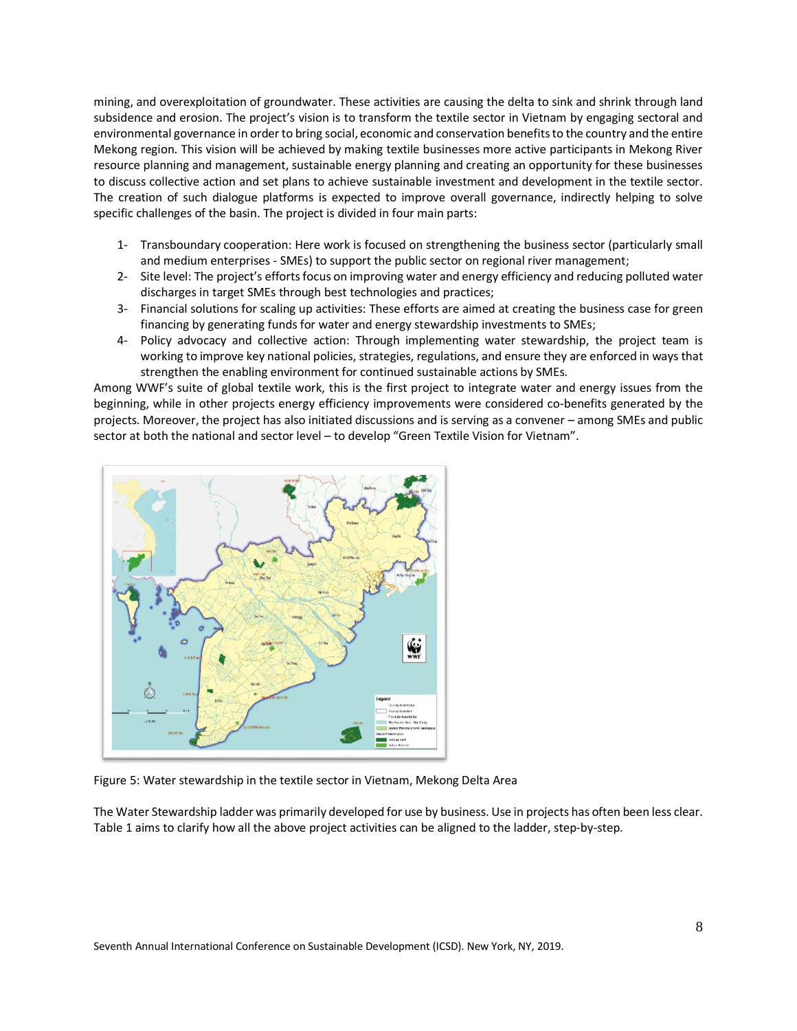mining, and overexploitation of groundwater. These activities are causing the delta to sink and shrink through land subsidence and erosion. The project's vision is to transform the textile sector in Vietnam by engaging sectoral and environmental governance in order to bring social, economic and conservation benefits to the country and the entire Mekong region. This vision will be achieved by making textile businesses more active participants in Mekong River resource planning and management, sustainable energy planning and creating an opportunity for these businesses to discuss collective action and set plans to achieve sustainable investment and development in the textile sector. The creation of such dialogue platforms is expected to improve overall governance, indirectly helping to solve specific challenges of the basin. The project is divided in four main parts:

- 1- Transboundary cooperation: Here work is focused on strengthening the business sector (particularly small and medium enterprises - SMEs) to support the public sector on regional river management;
- 2- Site level: The project's efforts focus on improving water and energy efficiency and reducing polluted water discharges in target SMEs through best technologies and practices;
- 3- Financial solutions for scaling up activities: These efforts are aimed at creating the business case for green financing by generating funds for water and energy stewardship investments to SMEs;
- 4- Policy advocacy and collective action: Through implementing water stewardship, the project team is working to improve key national policies, strategies, regulations, and ensure they are enforced in ways that strengthen the enabling environment for continued sustainable actions by SMEs.

Among WWF's suite of global textile work, this is the first project to integrate water and energy issues from the beginning, while in other projects energy efficiency improvements were considered co-benefits generated by the projects. Moreover, the project has also initiated discussions and is serving as a convener – among SMEs and public sector at both the national and sector level – to develop "Green Textile Vision for Vietnam".



Figure 5: Water stewardship in the textile sector in Vietnam, Mekong Delta Area

The Water Stewardship ladder was primarily developed for use by business. Use in projects has often been less clear. Table 1 aims to clarify how all the above project activities can be aligned to the ladder, step-by-step.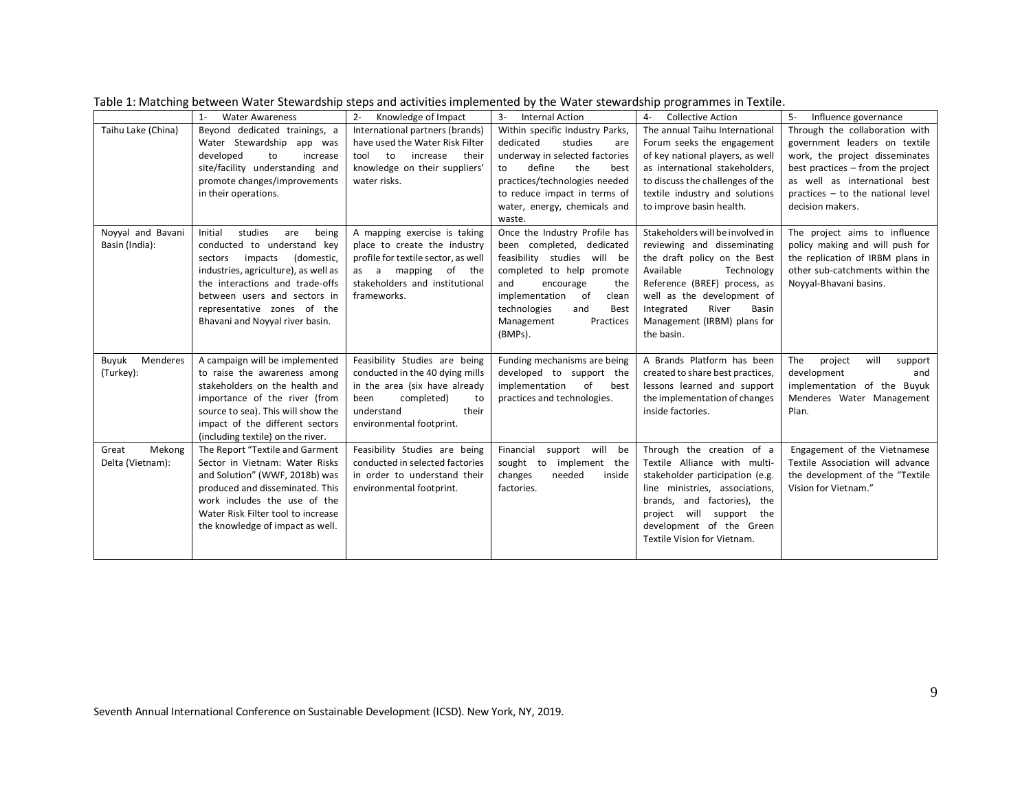|                    | <b>Water Awareness</b><br>$1 -$      | $2 -$<br>Knowledge of Impact        | $3-$<br><b>Internal Action</b>  | <b>Collective Action</b>         | $5-$<br>Influence governance      |
|--------------------|--------------------------------------|-------------------------------------|---------------------------------|----------------------------------|-----------------------------------|
| Taihu Lake (China) | Beyond dedicated trainings, a        | International partners (brands)     | Within specific Industry Parks, | The annual Taihu International   | Through the collaboration with    |
|                    | Water Stewardship app was            | have used the Water Risk Filter     | dedicated<br>studies<br>are     | Forum seeks the engagement       | government leaders on textile     |
|                    | developed<br>to<br>increase          | to<br>increase<br>tool<br>their     | underway in selected factories  | of key national players, as well | work, the project disseminates    |
|                    | site/facility understanding and      | knowledge on their suppliers'       | define<br>the<br>best<br>to     | as international stakeholders,   | best practices - from the project |
|                    | promote changes/improvements         | water risks.                        | practices/technologies needed   | to discuss the challenges of the | as well as international best     |
|                    | in their operations.                 |                                     | to reduce impact in terms of    | textile industry and solutions   | practices - to the national level |
|                    |                                      |                                     | water, energy, chemicals and    | to improve basin health.         | decision makers.                  |
|                    |                                      |                                     | waste.                          |                                  |                                   |
| Novyal and Bavani  | studies<br>Initial<br>being<br>are   | A mapping exercise is taking        | Once the Industry Profile has   | Stakeholders will be involved in | The project aims to influence     |
| Basin (India):     | conducted to understand key          | place to create the industry        | been completed, dedicated       | reviewing and disseminating      | policy making and will push for   |
|                    | (domestic,<br>impacts<br>sectors     | profile for textile sector, as well | feasibility studies<br>will be  | the draft policy on the Best     | the replication of IRBM plans in  |
|                    | industries, agriculture), as well as | as a mapping of the                 | completed to help promote       | Available<br>Technology          | other sub-catchments within the   |
|                    | the interactions and trade-offs      | stakeholders and institutional      | and<br>encourage<br>the         | Reference (BREF) process, as     | Novyal-Bhavani basins.            |
|                    | between users and sectors in         | frameworks.                         | implementation<br>of<br>clean   | well as the development of       |                                   |
|                    | representative zones of the          |                                     | technologies<br>and<br>Best     | Integrated<br>River<br>Basin     |                                   |
|                    | Bhavani and Noyyal river basin.      |                                     | Management<br>Practices         | Management (IRBM) plans for      |                                   |
|                    |                                      |                                     | (BMPs).                         | the basin.                       |                                   |
| Buyuk<br>Menderes  | A campaign will be implemented       | Feasibility Studies are being       | Funding mechanisms are being    | A Brands Platform has been       | will<br>The<br>project<br>support |
| (Turkey):          | to raise the awareness among         | conducted in the 40 dying mills     | developed to support the        | created to share best practices, | development<br>and                |
|                    | stakeholders on the health and       | in the area (six have already       | implementation<br>of<br>best    | lessons learned and support      | implementation of the Buyuk       |
|                    | importance of the river (from        | completed)<br>been<br>to            | practices and technologies.     | the implementation of changes    | Menderes Water Management         |
|                    | source to sea). This will show the   | understand<br>their                 |                                 | inside factories.                | Plan.                             |
|                    | impact of the different sectors      | environmental footprint.            |                                 |                                  |                                   |
|                    | (including textile) on the river.    |                                     |                                 |                                  |                                   |
| Mekong<br>Great    | The Report "Textile and Garment      | Feasibility Studies are being       | Financial<br>support will<br>be | Through the creation of a        | Engagement of the Vietnamese      |
| Delta (Vietnam):   | Sector in Vietnam: Water Risks       | conducted in selected factories     | implement the<br>sought to      | Textile Alliance with multi-     | Textile Association will advance  |
|                    | and Solution" (WWF, 2018b) was       | in order to understand their        | needed<br>changes<br>inside     | stakeholder participation (e.g.  | the development of the "Textile"  |
|                    | produced and disseminated. This      | environmental footprint.            | factories.                      | line ministries, associations,   | Vision for Vietnam."              |
|                    | work includes the use of the         |                                     |                                 | brands, and factories), the      |                                   |
|                    | Water Risk Filter tool to increase   |                                     |                                 | project will support the         |                                   |
|                    | the knowledge of impact as well.     |                                     |                                 | development of the Green         |                                   |
|                    |                                      |                                     |                                 | Textile Vision for Vietnam.      |                                   |
|                    |                                      |                                     |                                 |                                  |                                   |

Table 1: Matching between Water Stewardship steps and activities implemented by the Water stewardship programmes in Textile.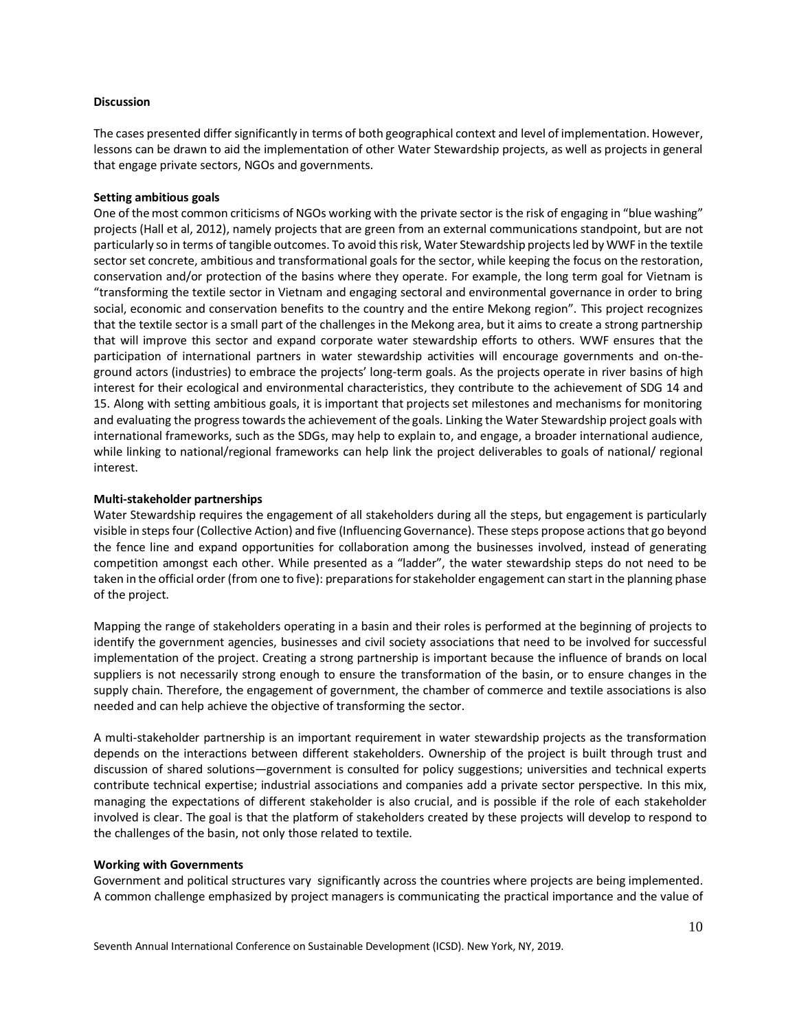#### **Discussion**

The cases presented differ significantly in terms of both geographical context and level of implementation. However, lessons can be drawn to aid the implementation of other Water Stewardship projects, as well as projects in general that engage private sectors, NGOs and governments.

#### **Setting ambitious goals**

One of the most common criticisms of NGOs working with the private sector is the risk of engaging in "blue washing" projects (Hall et al, 2012), namely projects that are green from an external communications standpoint, but are not particularly so in terms of tangible outcomes. To avoid this risk, Water Stewardship projects led by WWF in the textile sector set concrete, ambitious and transformational goals for the sector, while keeping the focus on the restoration, conservation and/or protection of the basins where they operate. For example, the long term goal for Vietnam is "transforming the textile sector in Vietnam and engaging sectoral and environmental governance in order to bring social, economic and conservation benefits to the country and the entire Mekong region". This project recognizes that the textile sector is a small part of the challenges in the Mekong area, but it aims to create a strong partnership that will improve this sector and expand corporate water stewardship efforts to others. WWF ensures that the participation of international partners in water stewardship activities will encourage governments and on-theground actors (industries) to embrace the projects' long-term goals. As the projects operate in river basins of high interest for their ecological and environmental characteristics, they contribute to the achievement of SDG 14 and 15. Along with setting ambitious goals, it is important that projects set milestones and mechanisms for monitoring and evaluating the progress towards the achievement of the goals. Linking the Water Stewardship project goals with international frameworks, such as the SDGs, may help to explain to, and engage, a broader international audience, while linking to national/regional frameworks can help link the project deliverables to goals of national/ regional interest.

#### **Multi-stakeholder partnerships**

Water Stewardship requires the engagement of all stakeholders during all the steps, but engagement is particularly visible in stepsfour (Collective Action) and five (Influencing Governance). These steps propose actions that go beyond the fence line and expand opportunities for collaboration among the businesses involved, instead of generating competition amongst each other. While presented as a "ladder", the water stewardship steps do not need to be taken in the official order (from one to five): preparations for stakeholder engagement can start in the planning phase of the project.

Mapping the range of stakeholders operating in a basin and their roles is performed at the beginning of projects to identify the government agencies, businesses and civil society associations that need to be involved for successful implementation of the project. Creating a strong partnership is important because the influence of brands on local suppliers is not necessarily strong enough to ensure the transformation of the basin, or to ensure changes in the supply chain. Therefore, the engagement of government, the chamber of commerce and textile associations is also needed and can help achieve the objective of transforming the sector.

A multi-stakeholder partnership is an important requirement in water stewardship projects as the transformation depends on the interactions between different stakeholders. Ownership of the project is built through trust and discussion of shared solutions—government is consulted for policy suggestions; universities and technical experts contribute technical expertise; industrial associations and companies add a private sector perspective. In this mix, managing the expectations of different stakeholder is also crucial, and is possible if the role of each stakeholder involved is clear. The goal is that the platform of stakeholders created by these projects will develop to respond to the challenges of the basin, not only those related to textile.

#### **Working with Governments**

Government and political structures vary significantly across the countries where projects are being implemented. A common challenge emphasized by project managers is communicating the practical importance and the value of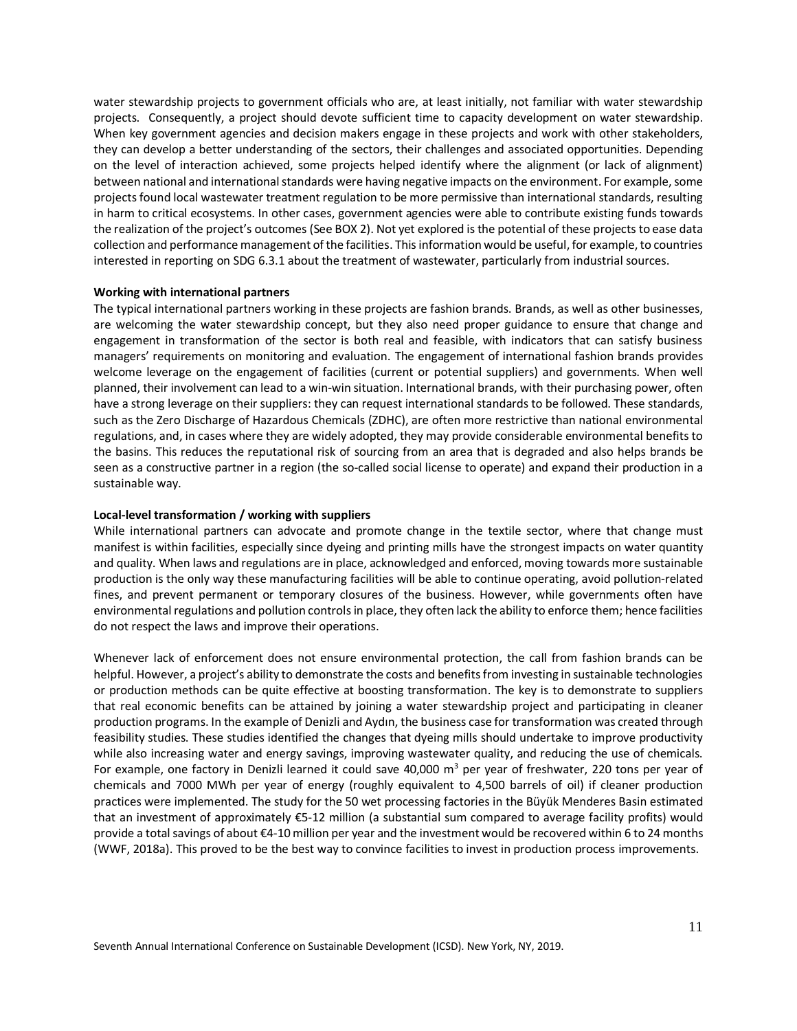water stewardship projects to government officials who are, at least initially, not familiar with water stewardship projects. Consequently, a project should devote sufficient time to capacity development on water stewardship. When key government agencies and decision makers engage in these projects and work with other stakeholders, they can develop a better understanding of the sectors, their challenges and associated opportunities. Depending on the level of interaction achieved, some projects helped identify where the alignment (or lack of alignment) between national and international standards were having negative impacts on the environment. For example, some projects found local wastewater treatment regulation to be more permissive than international standards, resulting in harm to critical ecosystems. In other cases, government agencies were able to contribute existing funds towards the realization of the project's outcomes (See BOX 2). Not yet explored is the potential of these projects to ease data collection and performance management of the facilities. This information would be useful, for example, to countries interested in reporting on SDG 6.3.1 about the treatment of wastewater, particularly from industrial sources.

#### **Working with international partners**

The typical international partners working in these projects are fashion brands. Brands, as well as other businesses, are welcoming the water stewardship concept, but they also need proper guidance to ensure that change and engagement in transformation of the sector is both real and feasible, with indicators that can satisfy business managers' requirements on monitoring and evaluation. The engagement of international fashion brands provides welcome leverage on the engagement of facilities (current or potential suppliers) and governments. When well planned, their involvement can lead to a win-win situation. International brands, with their purchasing power, often have a strong leverage on their suppliers: they can request international standards to be followed. These standards, such as the Zero Discharge of Hazardous Chemicals (ZDHC), are often more restrictive than national environmental regulations, and, in cases where they are widely adopted, they may provide considerable environmental benefits to the basins. This reduces the reputational risk of sourcing from an area that is degraded and also helps brands be seen as a constructive partner in a region (the so-called social license to operate) and expand their production in a sustainable way.

#### **Local-level transformation / working with suppliers**

While international partners can advocate and promote change in the textile sector, where that change must manifest is within facilities, especially since dyeing and printing mills have the strongest impacts on water quantity and quality. When laws and regulations are in place, acknowledged and enforced, moving towards more sustainable production is the only way these manufacturing facilities will be able to continue operating, avoid pollution-related fines, and prevent permanent or temporary closures of the business. However, while governments often have environmental regulations and pollution controlsin place, they often lack the ability to enforce them; hence facilities do not respect the laws and improve their operations.

Whenever lack of enforcement does not ensure environmental protection, the call from fashion brands can be helpful. However, a project's ability to demonstrate the costs and benefits from investing in sustainable technologies or production methods can be quite effective at boosting transformation. The key is to demonstrate to suppliers that real economic benefits can be attained by joining a water stewardship project and participating in cleaner production programs. In the example of Denizli and Aydın, the business case for transformation was created through feasibility studies. These studies identified the changes that dyeing mills should undertake to improve productivity while also increasing water and energy savings, improving wastewater quality, and reducing the use of chemicals. For example, one factory in Denizli learned it could save 40,000  $\text{m}^3$  per year of freshwater, 220 tons per year of chemicals and 7000 MWh per year of energy (roughly equivalent to 4,500 barrels of oil) if cleaner production practices were implemented. The study for the 50 wet processing factories in the Büyük Menderes Basin estimated that an investment of approximately €5-12 million (a substantial sum compared to average facility profits) would provide a total savings of about €4-10 million per year and the investment would be recovered within 6 to 24 months (WWF, 2018a). This proved to be the best way to convince facilities to invest in production process improvements.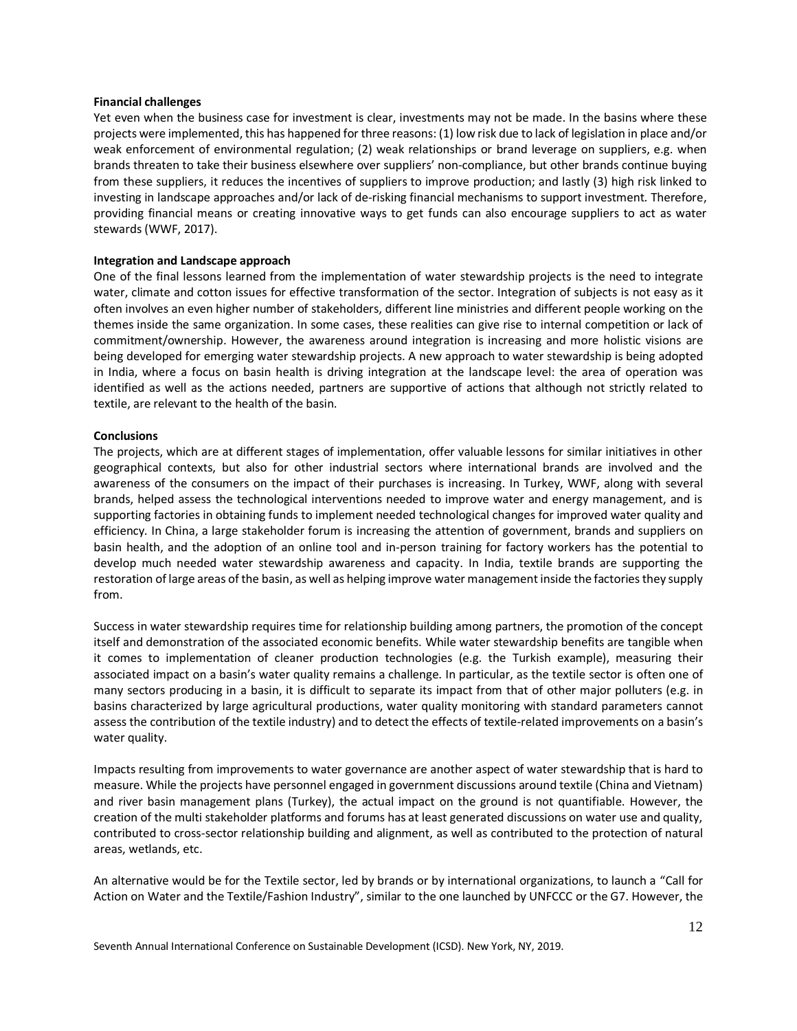#### **Financial challenges**

Yet even when the business case for investment is clear, investments may not be made. In the basins where these projects were implemented, this has happened for three reasons: (1) low risk due to lack of legislation in place and/or weak enforcement of environmental regulation; (2) weak relationships or brand leverage on suppliers, e.g. when brands threaten to take their business elsewhere over suppliers' non-compliance, but other brands continue buying from these suppliers, it reduces the incentives of suppliers to improve production; and lastly (3) high risk linked to investing in landscape approaches and/or lack of de-risking financial mechanisms to support investment. Therefore, providing financial means or creating innovative ways to get funds can also encourage suppliers to act as water stewards (WWF, 2017).

#### **Integration and Landscape approach**

One of the final lessons learned from the implementation of water stewardship projects is the need to integrate water, climate and cotton issues for effective transformation of the sector. Integration of subjects is not easy as it often involves an even higher number of stakeholders, different line ministries and different people working on the themes inside the same organization. In some cases, these realities can give rise to internal competition or lack of commitment/ownership. However, the awareness around integration is increasing and more holistic visions are being developed for emerging water stewardship projects. A new approach to water stewardship is being adopted in India, where a focus on basin health is driving integration at the landscape level: the area of operation was identified as well as the actions needed, partners are supportive of actions that although not strictly related to textile, are relevant to the health of the basin.

#### **Conclusions**

The projects, which are at different stages of implementation, offer valuable lessons for similar initiatives in other geographical contexts, but also for other industrial sectors where international brands are involved and the awareness of the consumers on the impact of their purchases is increasing. In Turkey, WWF, along with several brands, helped assess the technological interventions needed to improve water and energy management, and is supporting factories in obtaining funds to implement needed technological changes for improved water quality and efficiency. In China, a large stakeholder forum is increasing the attention of government, brands and suppliers on basin health, and the adoption of an online tool and in-person training for factory workers has the potential to develop much needed water stewardship awareness and capacity. In India, textile brands are supporting the restoration of large areas of the basin, as well as helping improve water management inside the factories they supply from.

Success in water stewardship requires time for relationship building among partners, the promotion of the concept itself and demonstration of the associated economic benefits. While water stewardship benefits are tangible when it comes to implementation of cleaner production technologies (e.g. the Turkish example), measuring their associated impact on a basin's water quality remains a challenge. In particular, as the textile sector is often one of many sectors producing in a basin, it is difficult to separate its impact from that of other major polluters (e.g. in basins characterized by large agricultural productions, water quality monitoring with standard parameters cannot assess the contribution of the textile industry) and to detect the effects of textile-related improvements on a basin's water quality.

Impacts resulting from improvements to water governance are another aspect of water stewardship that is hard to measure. While the projects have personnel engaged in government discussions around textile (China and Vietnam) and river basin management plans (Turkey), the actual impact on the ground is not quantifiable. However, the creation of the multi stakeholder platforms and forums has at least generated discussions on water use and quality, contributed to cross-sector relationship building and alignment, as well as contributed to the protection of natural areas, wetlands, etc.

An alternative would be for the Textile sector, led by brands or by international organizations, to launch a "Call for Action on Water and the Textile/Fashion Industry", similar to the one launched by UNFCCC or the G7. However, the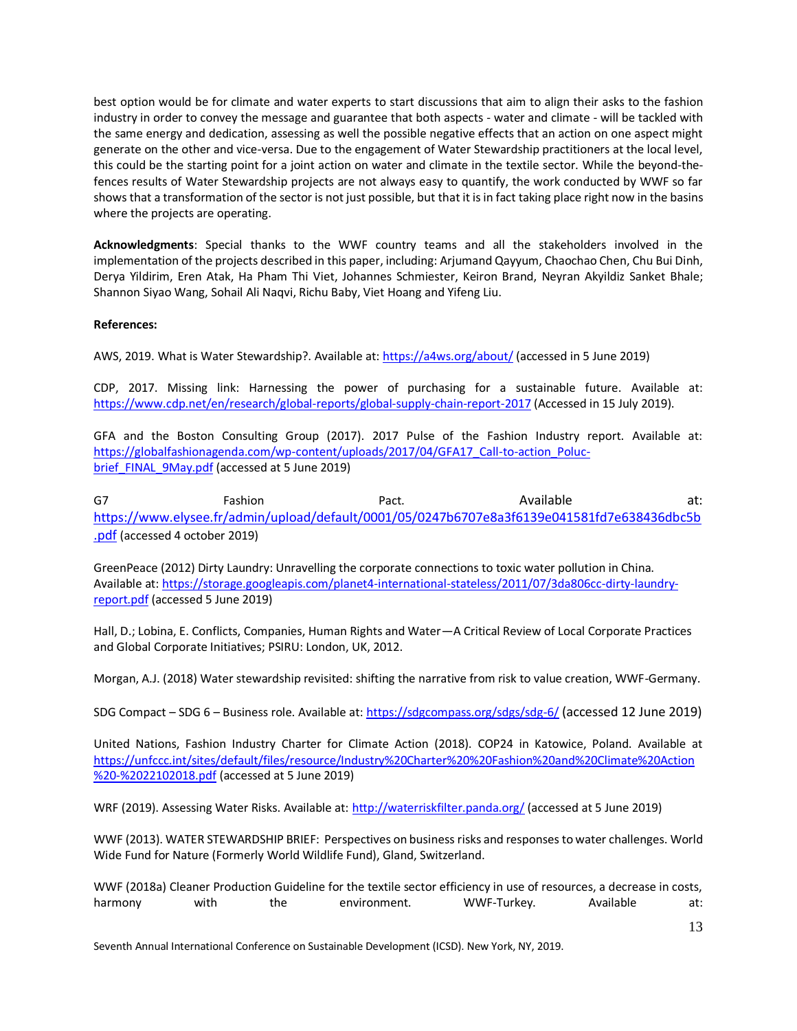best option would be for climate and water experts to start discussions that aim to align their asks to the fashion industry in order to convey the message and guarantee that both aspects - water and climate - will be tackled with the same energy and dedication, assessing as well the possible negative effects that an action on one aspect might generate on the other and vice-versa. Due to the engagement of Water Stewardship practitioners at the local level, this could be the starting point for a joint action on water and climate in the textile sector. While the beyond-thefences results of Water Stewardship projects are not always easy to quantify, the work conducted by WWF so far shows that a transformation of the sector is not just possible, but that it isin fact taking place right now in the basins where the projects are operating.

**Acknowledgments**: Special thanks to the WWF country teams and all the stakeholders involved in the implementation of the projects described in this paper, including: Arjumand Qayyum, Chaochao Chen, Chu Bui Dinh, Derya Yildirim, Eren Atak, Ha Pham Thi Viet, Johannes Schmiester, Keiron Brand, Neyran Akyildiz Sanket Bhale; Shannon Siyao Wang, Sohail Ali Naqvi, Richu Baby, Viet Hoang and Yifeng Liu.

# **References:**

AWS, 2019. What is Water Stewardship?. Available at:<https://a4ws.org/about/> (accessed in 5 June 2019)

CDP, 2017. Missing link: Harnessing the power of purchasing for a sustainable future. Available at: <https://www.cdp.net/en/research/global-reports/global-supply-chain-report-2017> (Accessed in 15 July 2019).

GFA and the Boston Consulting Group (2017). 2017 Pulse of the Fashion Industry report. Available at: [https://globalfashionagenda.com/wp-content/uploads/2017/04/GFA17\\_Call-to-action\\_Poluc](https://globalfashionagenda.com/wp-content/uploads/2017/04/GFA17_Call-to-action_Poluc-brief_FINAL_9May.pdf)[brief\\_FINAL\\_9May.pdf](https://globalfashionagenda.com/wp-content/uploads/2017/04/GFA17_Call-to-action_Poluc-brief_FINAL_9May.pdf) (accessed at 5 June 2019)

G7 Fashion Pact. Available at: [https://www.elysee.fr/admin/upload/default/0001/05/0247b6707e8a3f6139e041581fd7e638436dbc5b](https://www.elysee.fr/admin/upload/default/0001/05/0247b6707e8a3f6139e041581fd7e638436dbc5b.pdf) [.pdf](https://www.elysee.fr/admin/upload/default/0001/05/0247b6707e8a3f6139e041581fd7e638436dbc5b.pdf) (accessed 4 october 2019)

GreenPeace (2012) Dirty Laundry: Unravelling the corporate connections to toxic water pollution in China. Available at[: https://storage.googleapis.com/planet4-international-stateless/2011/07/3da806cc-dirty-laundry](https://storage.googleapis.com/planet4-international-stateless/2011/07/3da806cc-dirty-laundry-report.pdf)[report.pdf](https://storage.googleapis.com/planet4-international-stateless/2011/07/3da806cc-dirty-laundry-report.pdf) (accessed 5 June 2019)

Hall, D.; Lobina, E. Conflicts, Companies, Human Rights and Water—A Critical Review of Local Corporate Practices and Global Corporate Initiatives; PSIRU: London, UK, 2012.

Morgan, A.J. (2018) Water stewardship revisited: shifting the narrative from risk to value creation, WWF-Germany.

SDG Compact – SDG 6 – Business role. Available at[: https://sdgcompass.org/sdgs/sdg-6/](https://sdgcompass.org/sdgs/sdg-6/) (accessed 12 June 2019)

United Nations, Fashion Industry Charter for Climate Action (2018). COP24 in Katowice, Poland. Available at [https://unfccc.int/sites/default/files/resource/Industry%20Charter%20%20Fashion%20and%20Climate%20Action](https://unfccc.int/sites/default/files/resource/Industry%20Charter%20%20Fashion%20and%20Climate%20Action%20-%2022102018.pdf) [%20-%2022102018.pdf](https://unfccc.int/sites/default/files/resource/Industry%20Charter%20%20Fashion%20and%20Climate%20Action%20-%2022102018.pdf) (accessed at 5 June 2019)

WRF (2019). Assessing Water Risks. Available at[: http://waterriskfilter.panda.org/](http://waterriskfilter.panda.org/) (accessed at 5 June 2019)

WWF (2013). WATER STEWARDSHIP BRIEF: Perspectives on business risks and responses to water challenges. World Wide Fund for Nature (Formerly World Wildlife Fund), Gland, Switzerland.

WWF (2018a) Cleaner Production Guideline for the textile sector efficiency in use of resources, a decrease in costs, harmony with the environment. WWF-Turkey. Available at: